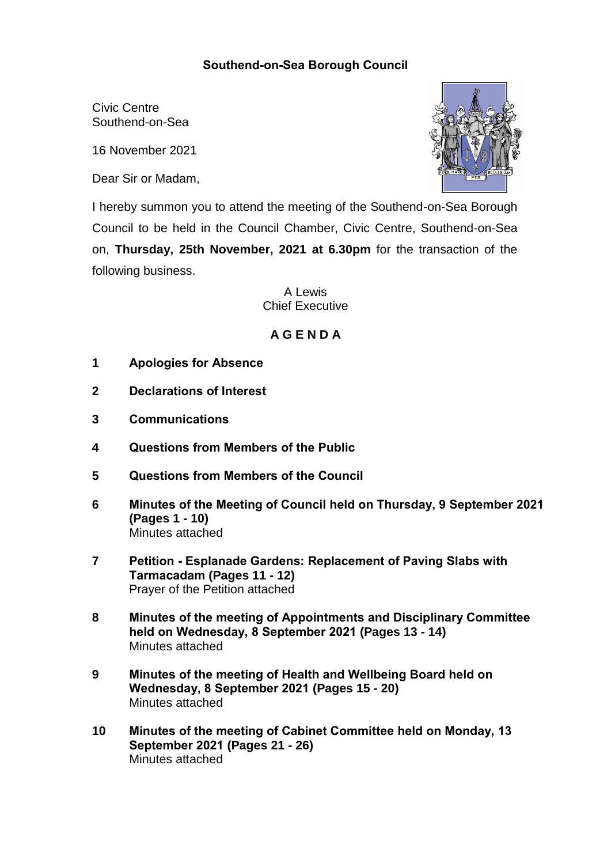## **Southend-on-Sea Borough Council**

Civic Centre Southend-on-Sea

16 November 2021

Dear Sir or Madam,



I hereby summon you to attend the meeting of the Southend-on-Sea Borough Council to be held in the Council Chamber, Civic Centre, Southend-on-Sea on, **Thursday, 25th November, 2021 at 6.30pm** for the transaction of the following business.

> A Lewis Chief Executive

## **A G E N D A**

- **1 Apologies for Absence**
- **2 Declarations of Interest**
- **3 Communications**
- **4 Questions from Members of the Public**
- **5 Questions from Members of the Council**
- **6 Minutes of the Meeting of Council held on Thursday, 9 September 2021 (Pages 1 - 10)** Minutes attached
- **7 Petition - Esplanade Gardens: Replacement of Paving Slabs with Tarmacadam (Pages 11 - 12)** Prayer of the Petition attached
- **8 Minutes of the meeting of Appointments and Disciplinary Committee held on Wednesday, 8 September 2021 (Pages 13 - 14)** Minutes attached
- **9 Minutes of the meeting of Health and Wellbeing Board held on Wednesday, 8 September 2021 (Pages 15 - 20)** Minutes attached
- **10 Minutes of the meeting of Cabinet Committee held on Monday, 13 September 2021 (Pages 21 - 26)** Minutes attached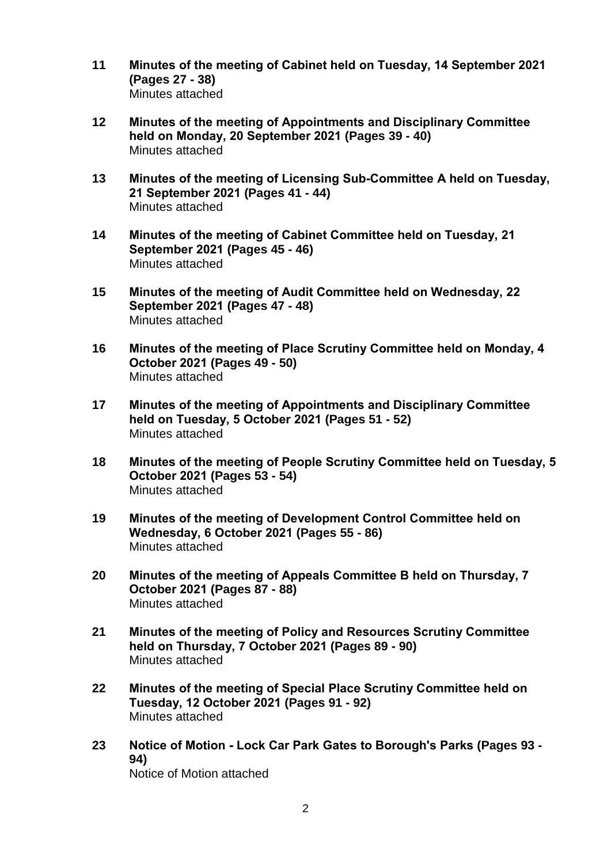- **11 Minutes of the meeting of Cabinet held on Tuesday, 14 September 2021 (Pages 27 - 38)** Minutes attached
- **12 Minutes of the meeting of Appointments and Disciplinary Committee held on Monday, 20 September 2021 (Pages 39 - 40)** Minutes attached
- **13 Minutes of the meeting of Licensing Sub-Committee A held on Tuesday, 21 September 2021 (Pages 41 - 44)** Minutes attached
- **14 Minutes of the meeting of Cabinet Committee held on Tuesday, 21 September 2021 (Pages 45 - 46)** Minutes attached
- **15 Minutes of the meeting of Audit Committee held on Wednesday, 22 September 2021 (Pages 47 - 48)** Minutes attached
- **16 Minutes of the meeting of Place Scrutiny Committee held on Monday, 4 October 2021 (Pages 49 - 50)** Minutes attached
- **17 Minutes of the meeting of Appointments and Disciplinary Committee held on Tuesday, 5 October 2021 (Pages 51 - 52)** Minutes attached
- **18 Minutes of the meeting of People Scrutiny Committee held on Tuesday, 5 October 2021 (Pages 53 - 54)** Minutes attached
- **19 Minutes of the meeting of Development Control Committee held on Wednesday, 6 October 2021 (Pages 55 - 86)** Minutes attached
- **20 Minutes of the meeting of Appeals Committee B held on Thursday, 7 October 2021 (Pages 87 - 88)** Minutes attached
- **21 Minutes of the meeting of Policy and Resources Scrutiny Committee held on Thursday, 7 October 2021 (Pages 89 - 90)** Minutes attached
- **22 Minutes of the meeting of Special Place Scrutiny Committee held on Tuesday, 12 October 2021 (Pages 91 - 92)** Minutes attached
- **23 Notice of Motion - Lock Car Park Gates to Borough's Parks (Pages 93 - 94)** Notice of Motion attached